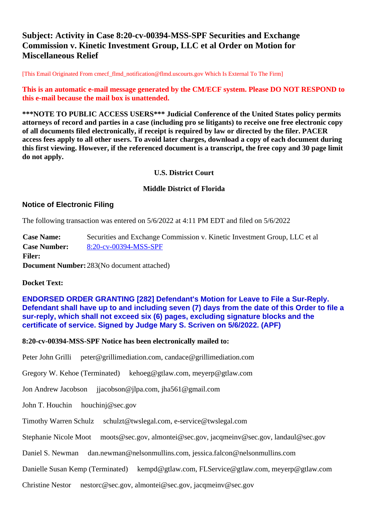# **Subject: Activity in Case 8:20-cv-00394-MSS-SPF Securities and Exchange Commission v. Kinetic Investment Group, LLC et al Order on Motion for Miscellaneous Relief**

[This Email Originated From cmecf\_flmd\_notification@flmd.uscourts.gov Which Is External To The Firm]

**This is an automatic e-mail message generated by the CM/ECF system. Please DO NOT RESPOND to this e-mail because the mail box is unattended.**

**\*\*\*NOTE TO PUBLIC ACCESS USERS\*\*\* Judicial Conference of the United States policy permits attorneys of record and parties in a case (including pro se litigants) to receive one free electronic copy of all documents filed electronically, if receipt is required by law or directed by the filer. PACER access fees apply to all other users. To avoid later charges, download a copy of each document during this first viewing. However, if the referenced document is a transcript, the free copy and 30 page limit do not apply.**

### **U.S. District Court**

#### **Middle District of Florida**

## **Notice of Electronic Filing**

The following transaction was entered on 5/6/2022 at 4:11 PM EDT and filed on 5/6/2022

**Case Name:** Securities and Exchange Commission v. Kinetic Investment Group, LLC et al **Case Number:** [8:20-cv-00394-MSS-SPF](https://ecf.flmd.uscourts.gov/cgi-bin/DktRpt.pl?374498) **Filer: Document Number:** 283(No document attached)

## **Docket Text:**

**ENDORSED ORDER GRANTING [282] Defendant's Motion for Leave to File a Sur-Reply. Defendant shall have up to and including seven (7) days from the date of this Order to file a sur-reply, which shall not exceed six (6) pages, excluding signature blocks and the certificate of service. Signed by Judge Mary S. Scriven on 5/6/2022. (APF)**

#### **8:20-cv-00394-MSS-SPF Notice has been electronically mailed to:**

Peter John Grilli peter@grillimediation.com, candace@grillimediation.com

Gregory W. Kehoe (Terminated) kehoeg@gtlaw.com, meyerp@gtlaw.com

Jon Andrew Jacobson ijacobson@jlpa.com, jha561@gmail.com

John T. Houchin houchinj@sec.gov

#### Timothy Warren Schulz schulzt@twslegal.com, e-service@twslegal.com

Stephanie Nicole Moot moots@sec.gov, almontei@sec.gov, jacqmeinv@sec.gov, landaul@sec.gov

Daniel S. Newman dan.newman@nelsonmullins.com, jessica.falcon@nelsonmullins.com

Danielle Susan Kemp (Terminated) kempd@gtlaw.com, FLService@gtlaw.com, meyerp@gtlaw.com

Christine Nestor nestorc@sec.gov, almontei@sec.gov, jacqmeinv@sec.gov